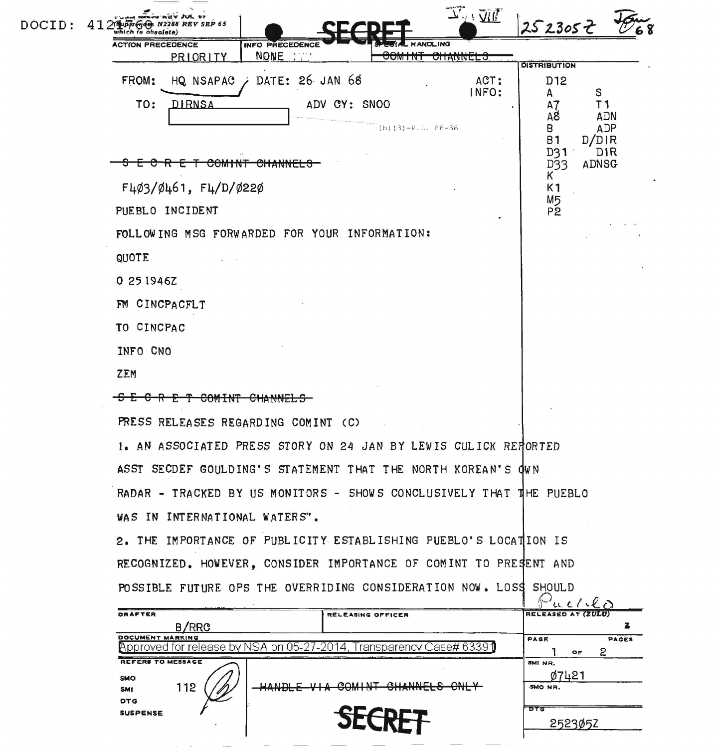| DOCID: | $\overline{\mathcal{Y}}_T$ , $\overline{\mathcal{U}}$<br>4th N2288 REV SEP 65<br>hich is obsolete) | 2523052                                  |  |  |  |
|--------|----------------------------------------------------------------------------------------------------|------------------------------------------|--|--|--|
|        | <b>ACTION PRECEDENCE</b><br><b>HANDLING</b><br>INFO PRECEDENCE                                     |                                          |  |  |  |
|        | NONE.<br>PRIORITY<br><b>UTTANNELO</b><br><b>UURITINT</b>                                           | <b>DISTRIBUTION</b>                      |  |  |  |
|        | DATE: 26 JAN 68<br>ACT:<br>FROM:<br>HQ NSAPAC<br>INFO:                                             | D <sub>12</sub><br>S<br>A                |  |  |  |
|        | TO:<br>DIRNSA<br>ADV CY: SNOO                                                                      | T <sub>1</sub><br>A7<br><b>ADN</b><br>A8 |  |  |  |
|        | $(b)$ (3) -P.L. 86-36                                                                              | ADP<br>В<br>D/DIR<br>B 1                 |  |  |  |
|        | <del>COMINT CHANNELS</del>                                                                         | <b>DIR</b><br>D31<br><b>ADNSG</b><br>D33 |  |  |  |
|        | F4Ø3/Ø461, F4/D/Ø22Ø                                                                               | K <sub>1</sub>                           |  |  |  |
|        | PUEBLO INCIDENT                                                                                    | M5<br>P2                                 |  |  |  |
|        | FOLLOWING MSG FORWARDED FOR YOUR INFORMATION:                                                      |                                          |  |  |  |
|        | QUOTE                                                                                              |                                          |  |  |  |
|        | 0 25 1946Z                                                                                         |                                          |  |  |  |
|        | FM CINCPACFLT                                                                                      |                                          |  |  |  |
|        | TO CINCPAC                                                                                         |                                          |  |  |  |
|        | INFO CNO                                                                                           |                                          |  |  |  |
|        | ZEM                                                                                                |                                          |  |  |  |
|        |                                                                                                    |                                          |  |  |  |
|        | PRESS RELEASES REGARDING COMINT (C)                                                                |                                          |  |  |  |
|        | 1. AN ASSOCIATED PRESS STORY ON 24 JAN BY LEWIS CULICK REPORTED                                    |                                          |  |  |  |
|        | ASST SECDEF GOULDING'S STATEMENT THAT THE NORTH KOREAN'S OWN                                       |                                          |  |  |  |
|        | RADAR - TRACKED BY US MONITORS - SHOWS CONCLUSIVELY THAT THE PUEBLO                                |                                          |  |  |  |
|        | WAS IN INTERNATIONAL WATERS".                                                                      |                                          |  |  |  |
|        | 2. THE IMPORTANCE OF PUBLICITY ESTABLISHING PUEBLO'S LOCATION IS                                   |                                          |  |  |  |
|        | RECOGNIZED. HOWEVER, CONSIDER IMPORTANCE OF COMINT TO PRESENT AND                                  |                                          |  |  |  |
|        | POSSIBLE FUTURE OPS THE OVERRIDING CONSIDERATION NOW. LOSS SHOULD                                  |                                          |  |  |  |
|        | DRAFTER<br>RELEASING OFFICER                                                                       | Fuello<br>RELEASED AT (ZULU)             |  |  |  |
|        | <b>B/RRC</b><br>DOCUMENT MARKING                                                                   | z<br>PAGE<br><b>PAGES</b>                |  |  |  |
|        | Approved for release by NSA on 05-27-2014.<br>Transparency Case# 6339¶<br><b>REFERS TO MESSAGE</b> | $\mathbf{2}$<br>OF<br>SMI NR.            |  |  |  |
|        | SMO<br>CHANNELS<br>112<br>HANDLE<br><b>COMINT</b>                                                  | Ø7421<br>SMO NR.                         |  |  |  |
|        | <b>SMI</b><br><b>DTG</b>                                                                           | वाद                                      |  |  |  |
|        | <b>SUSPENSE</b>                                                                                    | 2523052                                  |  |  |  |
|        |                                                                                                    |                                          |  |  |  |